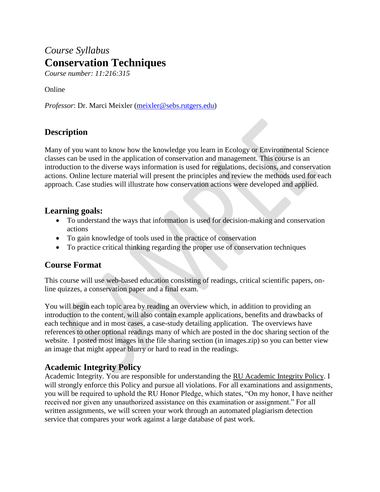# *Course Syllabus* **Conservation Techniques**

*Course number: 11:216:315*

Online

*Professor*: Dr. Marci Meixler [\(meixler@sebs.rutgers.edu\)](mailto:meixler@sebs.rutgers.edu)

## **Description**

Many of you want to know how the knowledge you learn in Ecology or Environmental Science classes can be used in the application of conservation and management. This course is an introduction to the diverse ways information is used for regulations, decisions, and conservation actions. Online lecture material will present the principles and review the methods used for each approach. Case studies will illustrate how conservation actions were developed and applied.

### **Learning goals:**

- To understand the ways that information is used for decision-making and conservation actions
- To gain knowledge of tools used in the practice of conservation
- To practice critical thinking regarding the proper use of conservation techniques

## **Course Format**

This course will use web-based education consisting of readings, critical scientific papers, online quizzes, a conservation paper and a final exam.

You will begin each topic area by reading an overview which, in addition to providing an introduction to the content, will also contain example applications, benefits and drawbacks of each technique and in most cases, a case-study detailing application. The overviews have references to other optional readings many of which are posted in the doc sharing section of the website. I posted most images in the file sharing section (in images.zip) so you can better view an image that might appear blurry or hard to read in the readings.

# **Academic Integrity Policy**

Academic Integrity. You are responsible for understanding the [RU Academic Integrity Policy.](https://slwordpress.rutgers.edu/academicintegrity/wp-content/uploads/sites/41/2014/11/AI_Policy_2013.pdf) I will strongly enforce this Policy and pursue all violations. For all examinations and assignments, you will be required to uphold the RU Honor Pledge, which states, "On my honor, I have neither received nor given any unauthorized assistance on this examination or assignment." For all written assignments, we will screen your work through an automated plagiarism detection service that compares your work against a large database of past work.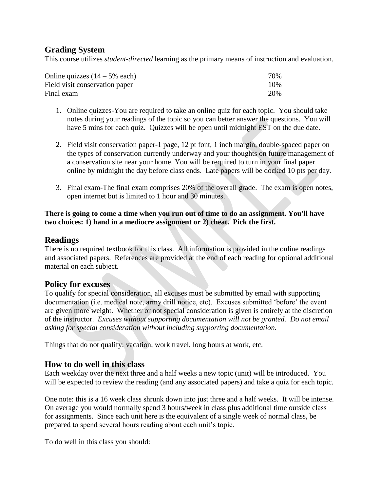## **Grading System**

This course utilizes *student-directed* learning as the primary means of instruction and evaluation.

| Online quizzes $(14 – 5\%$ each) | 70% |
|----------------------------------|-----|
| Field visit conservation paper   | 10% |
| Final exam                       | 20% |

- 1. Online quizzes-You are required to take an online quiz for each topic. You should take notes during your readings of the topic so you can better answer the questions. You will have 5 mins for each quiz. Quizzes will be open until midnight EST on the due date.
- 2. Field visit conservation paper-1 page, 12 pt font, 1 inch margin, double-spaced paper on the types of conservation currently underway and your thoughts on future management of a conservation site near your home. You will be required to turn in your final paper online by midnight the day before class ends. Late papers will be docked 10 pts per day.
- 3. Final exam-The final exam comprises 20% of the overall grade. The exam is open notes, open internet but is limited to 1 hour and 30 minutes.

#### **There is going to come a time when you run out of time to do an assignment. You'll have two choices: 1) hand in a mediocre assignment or 2) cheat. Pick the first.**

## **Readings**

There is no required textbook for this class. All information is provided in the online readings and associated papers. References are provided at the end of each reading for optional additional material on each subject.

### **Policy for excuses**

To qualify for special consideration, all excuses must be submitted by email with supporting documentation (i.e. medical note, army drill notice, etc). Excuses submitted 'before' the event are given more weight. Whether or not special consideration is given is entirely at the discretion of the instructor. *Excuses without supporting documentation will not be granted. Do not email asking for special consideration without including supporting documentation.*

Things that do not qualify: vacation, work travel, long hours at work, etc.

### **How to do well in this class**

Each weekday over the next three and a half weeks a new topic (unit) will be introduced. You will be expected to review the reading (and any associated papers) and take a quiz for each topic.

One note: this is a 16 week class shrunk down into just three and a half weeks. It will be intense. On average you would normally spend 3 hours/week in class plus additional time outside class for assignments. Since each unit here is the equivalent of a single week of normal class, be prepared to spend several hours reading about each unit's topic.

To do well in this class you should: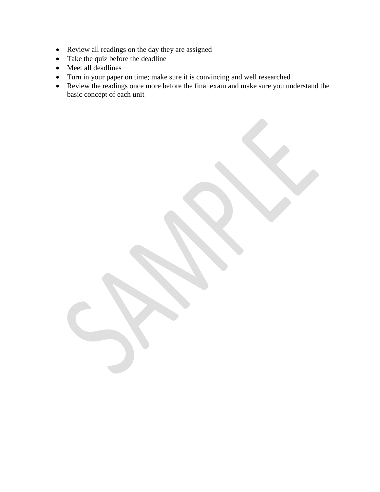- Review all readings on the day they are assigned
- Take the quiz before the deadline
- Meet all deadlines
- Turn in your paper on time; make sure it is convincing and well researched
- Review the readings once more before the final exam and make sure you understand the basic concept of each unit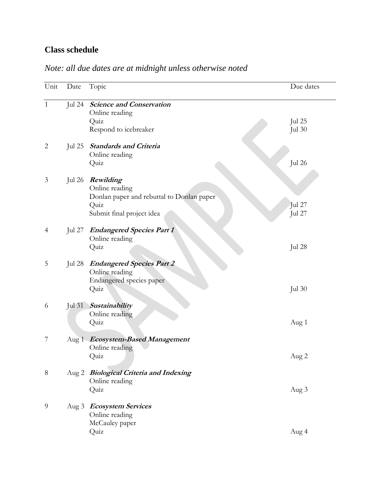# **Class schedule**

| Unit           | Date             | Topic                                                                                                                | Due dates               |
|----------------|------------------|----------------------------------------------------------------------------------------------------------------------|-------------------------|
| $\mathbf{1}$   | Jul 24           | <b>Science and Conservation</b><br>Online reading<br>Quiz<br>Respond to icebreaker                                   | Jul 25<br><b>Jul 30</b> |
| $\overline{2}$ | Jul 25           | <b>Standards and Criteria</b><br>Online reading<br>Quiz                                                              | Jul 26                  |
| 3              |                  | Jul 26 Rewilding<br>Online reading<br>Donlan paper and rebuttal to Donlan paper<br>Quiz<br>Submit final project idea | Jul 27<br>Jul 27        |
| $\overline{4}$ | Jul 27           | <b>Endangered Species Part 1</b><br>Online reading<br>Quiz                                                           | Jul 28                  |
| 5              | Jul 28           | <b>Endangered Species Part 2</b><br>Online reading<br>Endangered species paper<br>Quiz                               | Jul $30$                |
| 6              | Jul $31$         | Sustainability<br>Online reading<br>Quiz                                                                             | Aug 1                   |
| 7              | Aug <sub>1</sub> | <b>Ecosystem-Based Management</b><br>Online reading<br>Quiz                                                          | Aug 2                   |
| $8\,$          |                  | Aug 2 Biological Criteria and Indexing<br>Online reading<br>Quiz                                                     | Aug 3                   |
| 9              |                  | Aug 3 Ecosystem Services<br>Online reading<br>McCauley paper<br>Quiz                                                 | Aug 4                   |

# *Note: all due dates are at midnight unless otherwise noted*